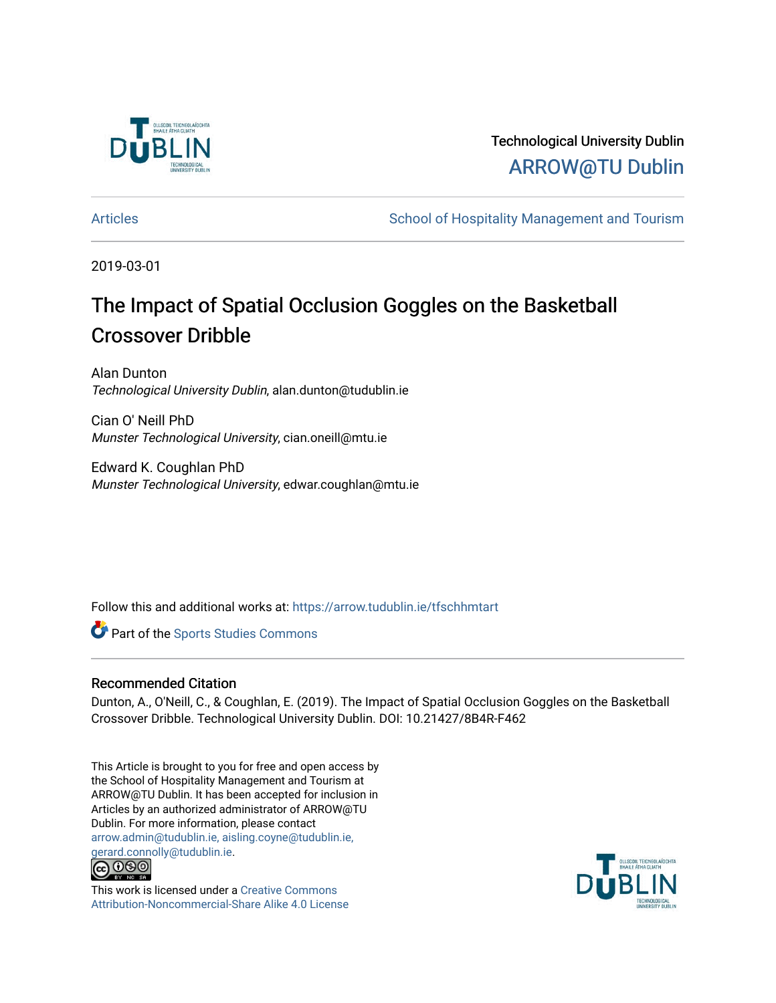

# Technological University Dublin [ARROW@TU Dublin](https://arrow.tudublin.ie/)

[Articles](https://arrow.tudublin.ie/tfschhmtart) **School of Hospitality Management and Tourism** School of Hospitality Management and Tourism

2019-03-01

# The Impact of Spatial Occlusion Goggles on the Basketball Crossover Dribble

Alan Dunton Technological University Dublin, alan.dunton@tudublin.ie

Cian O' Neill PhD Munster Technological University, cian.oneill@mtu.ie

Edward K. Coughlan PhD Munster Technological University, edwar.coughlan@mtu.ie

Follow this and additional works at: [https://arrow.tudublin.ie/tfschhmtart](https://arrow.tudublin.ie/tfschhmtart?utm_source=arrow.tudublin.ie%2Ftfschhmtart%2F89&utm_medium=PDF&utm_campaign=PDFCoverPages) 

Part of the [Sports Studies Commons](http://network.bepress.com/hgg/discipline/1198?utm_source=arrow.tudublin.ie%2Ftfschhmtart%2F89&utm_medium=PDF&utm_campaign=PDFCoverPages) 

## Recommended Citation

Dunton, A., O'Neill, C., & Coughlan, E. (2019). The Impact of Spatial Occlusion Goggles on the Basketball Crossover Dribble. Technological University Dublin. DOI: 10.21427/8B4R-F462

This Article is brought to you for free and open access by the School of Hospitality Management and Tourism at ARROW@TU Dublin. It has been accepted for inclusion in Articles by an authorized administrator of ARROW@TU Dublin. For more information, please contact [arrow.admin@tudublin.ie, aisling.coyne@tudublin.ie,](mailto:arrow.admin@tudublin.ie,%20aisling.coyne@tudublin.ie,%20gerard.connolly@tudublin.ie)  [gerard.connolly@tudublin.ie](mailto:arrow.admin@tudublin.ie,%20aisling.coyne@tudublin.ie,%20gerard.connolly@tudublin.ie).<br>@000



This work is licensed under a [Creative Commons](http://creativecommons.org/licenses/by-nc-sa/4.0/) [Attribution-Noncommercial-Share Alike 4.0 License](http://creativecommons.org/licenses/by-nc-sa/4.0/)

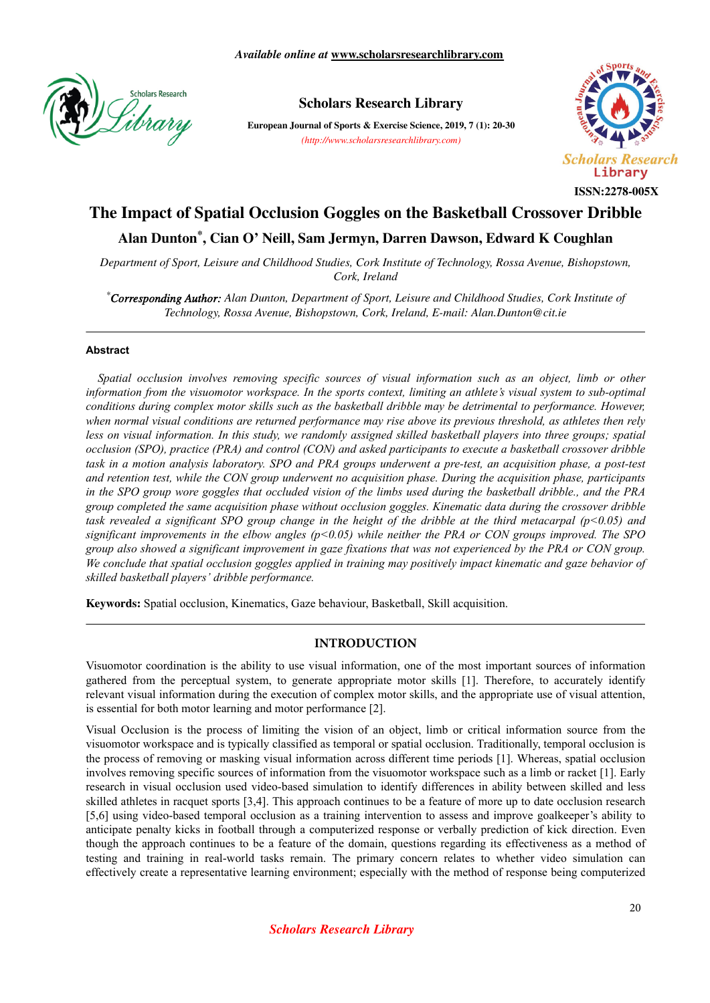

# **Scholars Research Library**

**European Journal of Sports & Exercise Science, 2019, 7 (1): 20-30** *(http://www.scholarsresearchlibrary.com)*



# **The Impact of Spatial Occlusion Goggles on the Basketball Crossover Dribble**

# **Alan Dunton\* , Cian O' Neill, Sam Jermyn, Darren Dawson, Edward K Coughlan**

*Department of Sport, Leisure and Childhood Studies, Cork Institute of Technology, Rossa Avenue, Bishopstown, Cork, Ireland*

*\*Corresponding Author: Alan Dunton, Department of Sport, Leisure and Childhood Studies, Cork Institute of Technology, Rossa Avenue, Bishopstown, Cork, Ireland, E-mail: Alan.Dunton@cit.ie*

#### **Abstract**

*Spatial occlusion involves removing specific sources of visual information such as an object, limb or other information from the visuomotor workspace. In the sports context, limiting an athlete's visual system to sub-optimal conditions during complex motor skills such as the basketball dribble may be detrimental to performance. However, when normal visual conditions are returned performance may rise above its previous threshold, as athletes then rely less on visual information. In this study, we randomly assigned skilled basketball players into three groups; spatial occlusion (SPO), practice (PRA) and control (CON) and asked participants to execute a basketball crossover dribble task in a motion analysis laboratory. SPO and PRA groups underwent a pre-test, an acquisition phase, a post-test and retention test, while the CON group underwent no acquisition phase. During the acquisition phase, participants in the SPO group wore goggles that occluded vision of the limbs used during the basketball dribble., and the PRA group completed the same acquisition phase without occlusion goggles. Kinematic data during the crossover dribble task revealed a significant SPO group change in the height of the dribble at the third metacarpal (p<0.05) and significant improvements in the elbow angles (p<0.05) while neither the PRA or CON groups improved. The SPO group also showed a significant improvement in gaze fixations that was not experienced by the PRA or CON group. We conclude that spatial occlusion goggles applied in training may positively impact kinematic and gaze behavior of skilled basketball players' dribble performance.*

**Keywords:** Spatial occlusion, Kinematics, Gaze behaviour, Basketball, Skill acquisition.

#### **INTRODUCTION**

Visuomotor coordination is the ability to use visual information, one of the most important sources of information gathered from the perceptual system, to generate appropriate motor skills [1]. Therefore, to accurately identify relevant visual information during the execution of complex motor skills, and the appropriate use of visual attention, is essential for both motor learning and motor performance [2].

Visual Occlusion is the process of limiting the vision of an object, limb or critical information source from the visuomotor workspace and is typically classified as temporal or spatial occlusion. Traditionally, temporal occlusion is the process of removing or masking visual information across different time periods [1]. Whereas, spatial occlusion involves removing specific sources of information from the visuomotor workspace such as a limb or racket [1]. Early research in visual occlusion used video-based simulation to identify differences in ability between skilled and less skilled athletes in racquet sports [3,4]. This approach continues to be a feature of more up to date occlusion research [5,6] using video-based temporal occlusion as a training intervention to assess and improve goalkeeper's ability to anticipate penalty kicks in football through a computerized response or verbally prediction of kick direction. Even though the approach continues to be a feature of the domain, questions regarding its effectiveness as a method of testing and training in real-world tasks remain. The primary concern relates to whether video simulation can effectively create a representative learning environment; especially with the method of response being computerized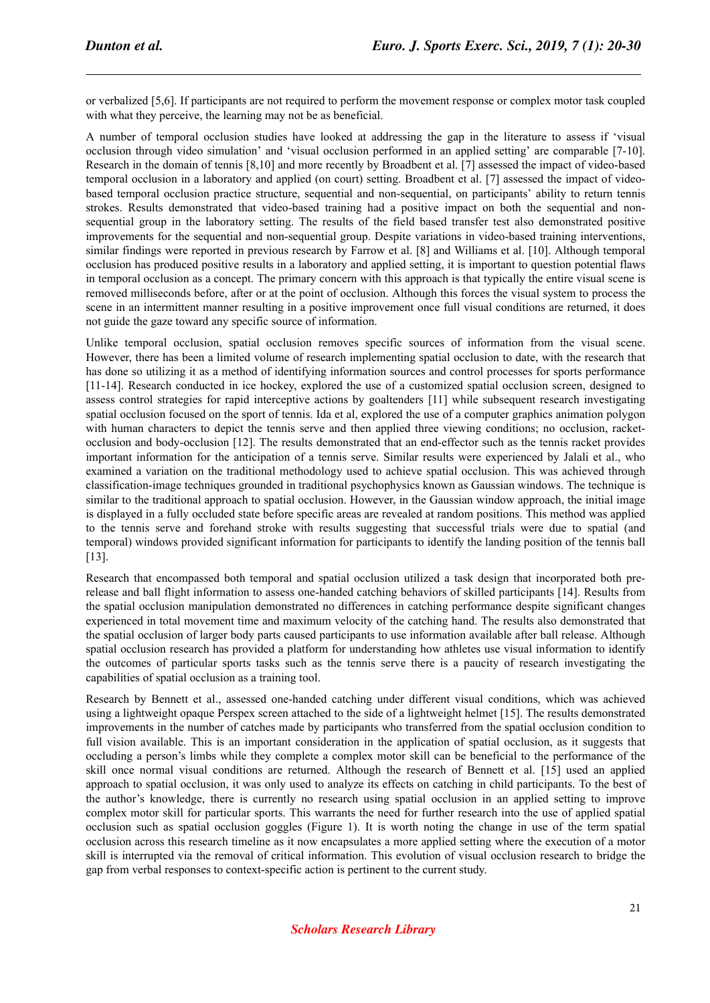or verbalized [5,6]. If participants are not required to perform the movement response or complex motor task coupled with what they perceive, the learning may not be as beneficial.

A number of temporal occlusion studies have looked at addressing the gap in the literature to assess if 'visual occlusion through video simulation' and 'visual occlusion performed in an applied setting' are comparable [7-10]. Research in the domain of tennis [8,10] and more recently by Broadbent et al. [7] assessed the impact of video-based temporal occlusion in a laboratory and applied (on court) setting. Broadbent et al. [7] assessed the impact of videobased temporal occlusion practice structure, sequential and non-sequential, on participants' ability to return tennis strokes. Results demonstrated that video-based training had a positive impact on both the sequential and nonsequential group in the laboratory setting. The results of the field based transfer test also demonstrated positive improvements for the sequential and non-sequential group. Despite variations in video-based training interventions, similar findings were reported in previous research by Farrow et al. [8] and Williams et al. [10]. Although temporal occlusion has produced positive results in a laboratory and applied setting, it is important to question potential flaws in temporal occlusion as a concept. The primary concern with this approach is that typically the entire visual scene is removed milliseconds before, after or at the point of occlusion. Although this forces the visual system to process the scene in an intermittent manner resulting in a positive improvement once full visual conditions are returned, it does not guide the gaze toward any specific source of information.

Unlike temporal occlusion, spatial occlusion removes specific sources of information from the visual scene. However, there has been a limited volume of research implementing spatial occlusion to date, with the research that has done so utilizing it as a method of identifying information sources and control processes for sports performance [11-14]. Research conducted in ice hockey, explored the use of a customized spatial occlusion screen, designed to assess control strategies for rapid interceptive actions by goaltenders [11] while subsequent research investigating spatial occlusion focused on the sport of tennis. Ida et al, explored the use of a computer graphics animation polygon with human characters to depict the tennis serve and then applied three viewing conditions; no occlusion, racketocclusion and body-occlusion [12]. The results demonstrated that an end-effector such as the tennis racket provides important information for the anticipation of a tennis serve. Similar results were experienced by Jalali et al., who examined a variation on the traditional methodology used to achieve spatial occlusion. This was achieved through classification-image techniques grounded in traditional psychophysics known as Gaussian windows. The technique is similar to the traditional approach to spatial occlusion. However, in the Gaussian window approach, the initial image is displayed in a fully occluded state before specific areas are revealed at random positions. This method was applied to the tennis serve and forehand stroke with results suggesting that successful trials were due to spatial (and temporal) windows provided significant information for participants to identify the landing position of the tennis ball [13].

Research that encompassed both temporal and spatial occlusion utilized a task design that incorporated both prerelease and ball flight information to assess one-handed catching behaviors of skilled participants [14]. Results from the spatial occlusion manipulation demonstrated no differences in catching performance despite significant changes experienced in total movement time and maximum velocity of the catching hand. The results also demonstrated that the spatial occlusion of larger body parts caused participants to use information available after ball release. Although spatial occlusion research has provided a platform for understanding how athletes use visual information to identify the outcomes of particular sports tasks such as the tennis serve there is a paucity of research investigating the capabilities of spatial occlusion as a training tool.

Research by Bennett et al., assessed one-handed catching under different visual conditions, which was achieved using a lightweight opaque Perspex screen attached to the side of a lightweight helmet [15]. The results demonstrated improvements in the number of catches made by participants who transferred from the spatial occlusion condition to full vision available. This is an important consideration in the application of spatial occlusion, as it suggests that occluding a person's limbs while they complete a complex motor skill can be beneficial to the performance of the skill once normal visual conditions are returned. Although the research of Bennett et al. [15] used an applied approach to spatial occlusion, it was only used to analyze its effects on catching in child participants. To the best of the author's knowledge, there is currently no research using spatial occlusion in an applied setting to improve complex motor skill for particular sports. This warrants the need for further research into the use of applied spatial occlusion such as spatial occlusion goggles (Figure 1). It is worth noting the change in use of the term spatial occlusion across this research timeline as it now encapsulates a more applied setting where the execution of a motor skill is interrupted via the removal of critical information. This evolution of visual occlusion research to bridge the gap from verbal responses to context-specific action is pertinent to the current study.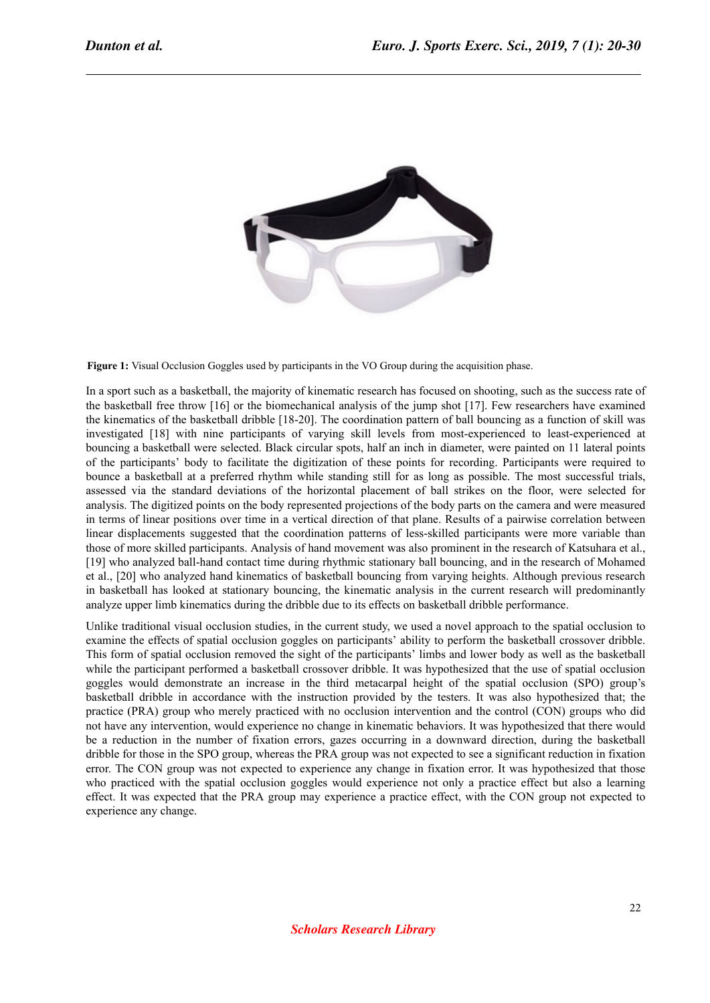

**Figure 1:** Visual Occlusion Goggles used by participants in the VO Group during the acquisition phase.

In a sport such as a basketball, the majority of kinematic research has focused on shooting, such as the success rate of the basketball free throw [16] or the biomechanical analysis of the jump shot [17]. Few researchers have examined the kinematics of the basketball dribble [18-20]. The coordination pattern of ball bouncing as a function of skill was investigated [18] with nine participants of varying skill levels from most-experienced to least-experienced at bouncing a basketball were selected. Black circular spots, half an inch in diameter, were painted on 11 lateral points of the participants' body to facilitate the digitization of these points for recording. Participants were required to bounce a basketball at a preferred rhythm while standing still for as long as possible. The most successful trials, assessed via the standard deviations of the horizontal placement of ball strikes on the floor, were selected for analysis. The digitized points on the body represented projections of the body parts on the camera and were measured in terms of linear positions over time in a vertical direction of that plane. Results of a pairwise correlation between linear displacements suggested that the coordination patterns of less-skilled participants were more variable than those of more skilled participants. Analysis of hand movement was also prominent in the research of Katsuhara et al., [19] who analyzed ball-hand contact time during rhythmic stationary ball bouncing, and in the research of Mohamed et al., [20] who analyzed hand kinematics of basketball bouncing from varying heights. Although previous research in basketball has looked at stationary bouncing, the kinematic analysis in the current research will predominantly analyze upper limb kinematics during the dribble due to its effects on basketball dribble performance.

Unlike traditional visual occlusion studies, in the current study, we used a novel approach to the spatial occlusion to examine the effects of spatial occlusion goggles on participants' ability to perform the basketball crossover dribble. This form of spatial occlusion removed the sight of the participants' limbs and lower body as well as the basketball while the participant performed a basketball crossover dribble. It was hypothesized that the use of spatial occlusion goggles would demonstrate an increase in the third metacarpal height of the spatial occlusion (SPO) group's basketball dribble in accordance with the instruction provided by the testers. It was also hypothesized that; the practice (PRA) group who merely practiced with no occlusion intervention and the control (CON) groups who did not have any intervention, would experience no change in kinematic behaviors. It was hypothesized that there would be a reduction in the number of fixation errors, gazes occurring in a downward direction, during the basketball dribble for those in the SPO group, whereas the PRA group was not expected to see a significant reduction in fixation error. The CON group was not expected to experience any change in fixation error. It was hypothesized that those who practiced with the spatial occlusion goggles would experience not only a practice effect but also a learning effect. It was expected that the PRA group may experience a practice effect, with the CON group not expected to experience any change.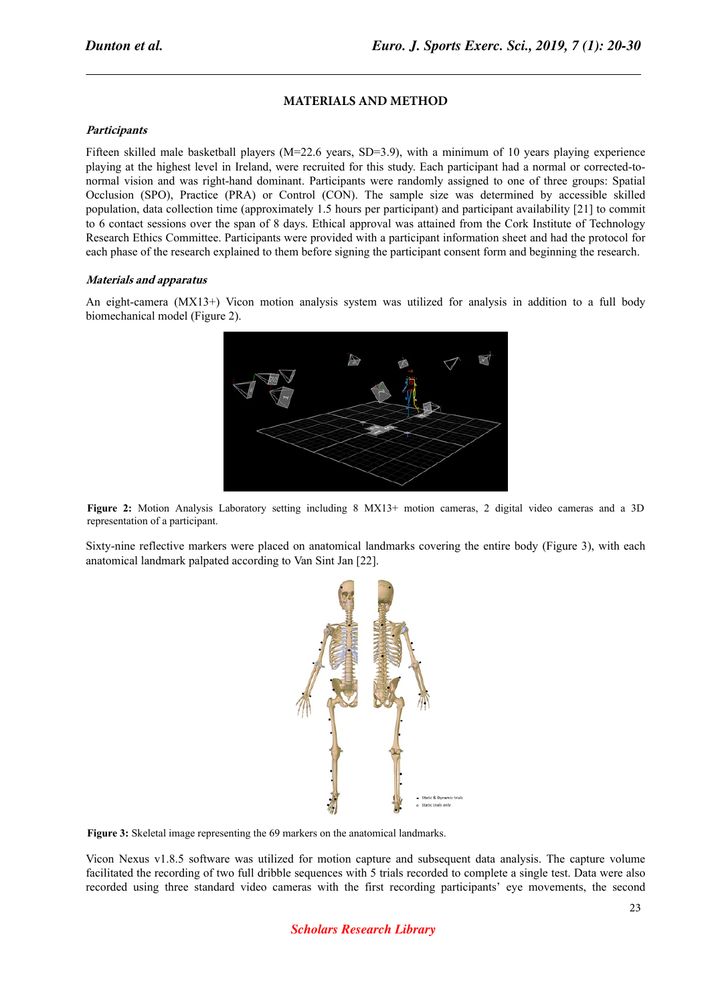## **MATERIALS AND METHOD**

#### **Participants**

Fifteen skilled male basketball players (M=22.6 years, SD=3.9), with a minimum of 10 years playing experience playing at the highest level in Ireland, were recruited for this study. Each participant had a normal or corrected-tonormal vision and was right-hand dominant. Participants were randomly assigned to one of three groups: Spatial Occlusion (SPO), Practice (PRA) or Control (CON). The sample size was determined by accessible skilled population, data collection time (approximately 1.5 hours per participant) and participant availability [21] to commit to 6 contact sessions over the span of 8 days. Ethical approval was attained from the Cork Institute of Technology Research Ethics Committee. Participants were provided with a participant information sheet and had the protocol for each phase of the research explained to them before signing the participant consent form and beginning the research.

#### **Materials and apparatus**

An eight-camera (MX13+) Vicon motion analysis system was utilized for analysis in addition to a full body biomechanical model (Figure 2).



**Figure 2:** Motion Analysis Laboratory setting including 8 MX13+ motion cameras, 2 digital video cameras and a 3D representation of a participant.

Sixty-nine reflective markers were placed on anatomical landmarks covering the entire body (Figure 3), with each anatomical landmark palpated according to Van Sint Jan [22].



**Figure 3:** Skeletal image representing the 69 markers on the anatomical landmarks.

Vicon Nexus v1.8.5 software was utilized for motion capture and subsequent data analysis. The capture volume facilitated the recording of two full dribble sequences with 5 trials recorded to complete a single test. Data were also recorded using three standard video cameras with the first recording participants' eye movements, the second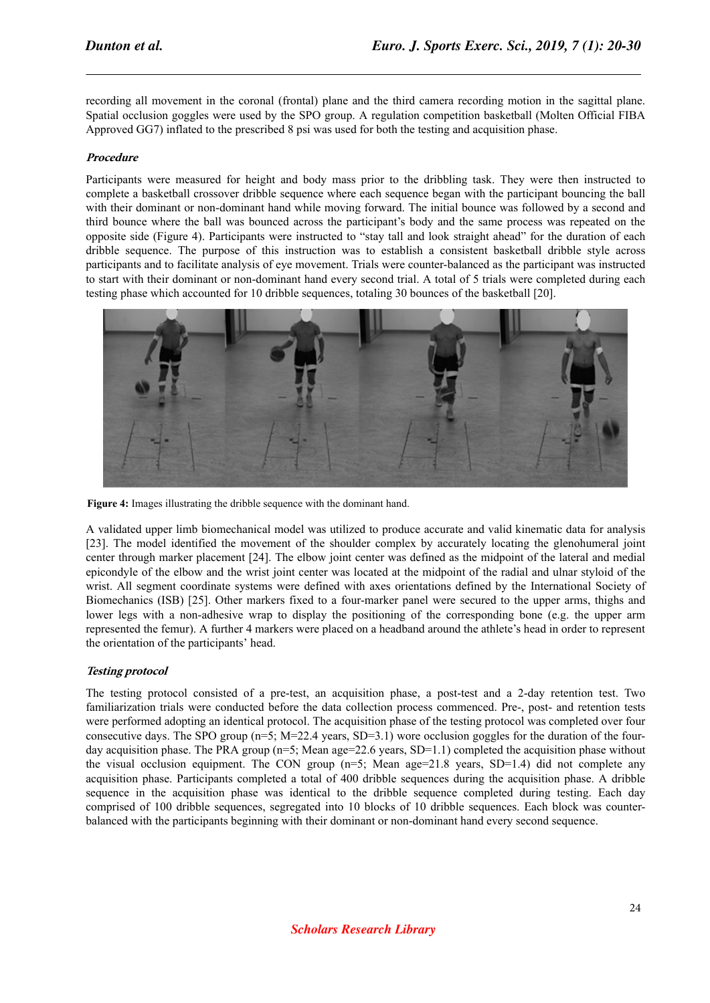recording all movement in the coronal (frontal) plane and the third camera recording motion in the sagittal plane. Spatial occlusion goggles were used by the SPO group. A regulation competition basketball (Molten Official FIBA Approved GG7) inflated to the prescribed 8 psi was used for both the testing and acquisition phase.

#### **Procedure**

Participants were measured for height and body mass prior to the dribbling task. They were then instructed to complete a basketball crossover dribble sequence where each sequence began with the participant bouncing the ball with their dominant or non-dominant hand while moving forward. The initial bounce was followed by a second and third bounce where the ball was bounced across the participant's body and the same process was repeated on the opposite side (Figure 4). Participants were instructed to "stay tall and look straight ahead" for the duration of each dribble sequence. The purpose of this instruction was to establish a consistent basketball dribble style across participants and to facilitate analysis of eye movement. Trials were counter-balanced as the participant was instructed to start with their dominant or non-dominant hand every second trial. A total of 5 trials were completed during each testing phase which accounted for 10 dribble sequences, totaling 30 bounces of the basketball [20].



**Figure 4:** Images illustrating the dribble sequence with the dominant hand.

A validated upper limb biomechanical model was utilized to produce accurate and valid kinematic data for analysis [23]. The model identified the movement of the shoulder complex by accurately locating the glenohumeral joint center through marker placement [24]. The elbow joint center was defined as the midpoint of the lateral and medial epicondyle of the elbow and the wrist joint center was located at the midpoint of the radial and ulnar styloid of the wrist. All segment coordinate systems were defined with axes orientations defined by the International Society of Biomechanics (ISB) [25]. Other markers fixed to a four-marker panel were secured to the upper arms, thighs and lower legs with a non-adhesive wrap to display the positioning of the corresponding bone (e.g. the upper arm represented the femur). A further 4 markers were placed on a headband around the athlete's head in order to represent the orientation of the participants' head.

#### **Testing protocol**

The testing protocol consisted of a pre-test, an acquisition phase, a post-test and a 2-day retention test. Two familiarization trials were conducted before the data collection process commenced. Pre-, post- and retention tests were performed adopting an identical protocol. The acquisition phase of the testing protocol was completed over four consecutive days. The SPO group (n=5; M=22.4 years, SD=3.1) wore occlusion goggles for the duration of the fourday acquisition phase. The PRA group (n=5; Mean age=22.6 years, SD=1.1) completed the acquisition phase without the visual occlusion equipment. The CON group  $(n=5)$ ; Mean age=21.8 years, SD=1.4) did not complete any acquisition phase. Participants completed a total of 400 dribble sequences during the acquisition phase. A dribble sequence in the acquisition phase was identical to the dribble sequence completed during testing. Each day comprised of 100 dribble sequences, segregated into 10 blocks of 10 dribble sequences. Each block was counterbalanced with the participants beginning with their dominant or non-dominant hand every second sequence.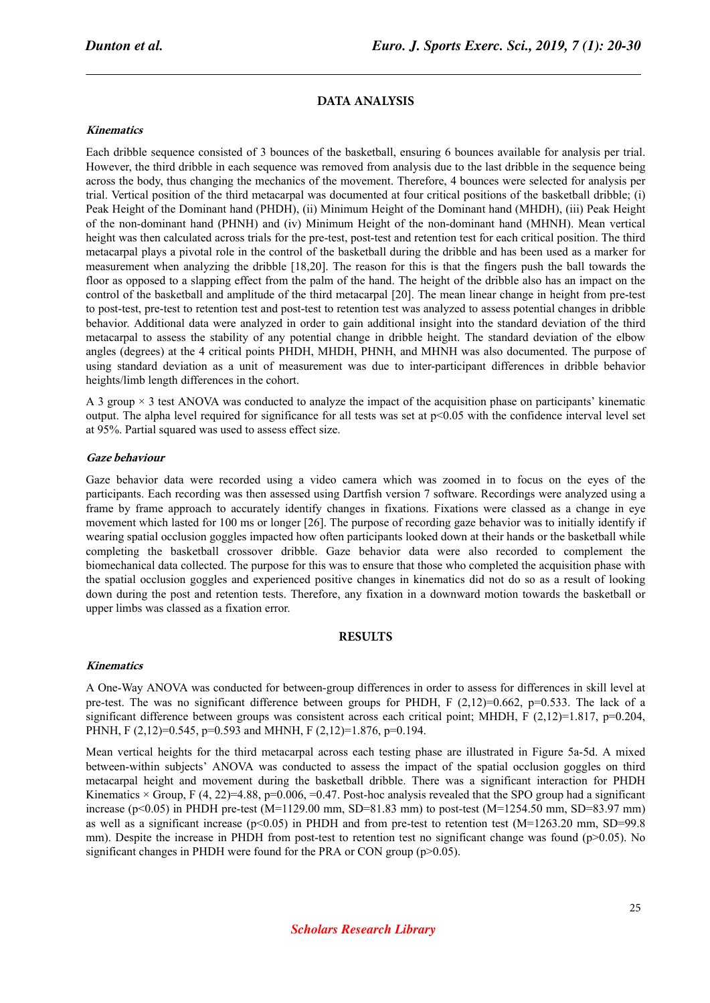## **DATA ANALYSIS**

#### **Kinematics**

Each dribble sequence consisted of 3 bounces of the basketball, ensuring 6 bounces available for analysis per trial. However, the third dribble in each sequence was removed from analysis due to the last dribble in the sequence being across the body, thus changing the mechanics of the movement. Therefore, 4 bounces were selected for analysis per trial. Vertical position of the third metacarpal was documented at four critical positions of the basketball dribble; (i) Peak Height of the Dominant hand (PHDH), (ii) Minimum Height of the Dominant hand (MHDH), (iii) Peak Height of the non-dominant hand (PHNH) and (iv) Minimum Height of the non-dominant hand (MHNH). Mean vertical height was then calculated across trials for the pre-test, post-test and retention test for each critical position. The third metacarpal plays a pivotal role in the control of the basketball during the dribble and has been used as a marker for measurement when analyzing the dribble [18,20]. The reason for this is that the fingers push the ball towards the floor as opposed to a slapping effect from the palm of the hand. The height of the dribble also has an impact on the control of the basketball and amplitude of the third metacarpal [20]. The mean linear change in height from pre-test to post-test, pre-test to retention test and post-test to retention test was analyzed to assess potential changes in dribble behavior. Additional data were analyzed in order to gain additional insight into the standard deviation of the third metacarpal to assess the stability of any potential change in dribble height. The standard deviation of the elbow angles (degrees) at the 4 critical points PHDH, MHDH, PHNH, and MHNH was also documented. The purpose of using standard deviation as a unit of measurement was due to inter-participant differences in dribble behavior heights/limb length differences in the cohort.

A 3 group  $\times$  3 test ANOVA was conducted to analyze the impact of the acquisition phase on participants' kinematic output. The alpha level required for significance for all tests was set at  $p<0.05$  with the confidence interval level set at 95%. Partial squared was used to assess effect size.

#### **Gaze behaviour**

Gaze behavior data were recorded using a video camera which was zoomed in to focus on the eyes of the participants. Each recording was then assessed using Dartfish version 7 software. Recordings were analyzed using a frame by frame approach to accurately identify changes in fixations. Fixations were classed as a change in eye movement which lasted for 100 ms or longer [26]. The purpose of recording gaze behavior was to initially identify if wearing spatial occlusion goggles impacted how often participants looked down at their hands or the basketball while completing the basketball crossover dribble. Gaze behavior data were also recorded to complement the biomechanical data collected. The purpose for this was to ensure that those who completed the acquisition phase with the spatial occlusion goggles and experienced positive changes in kinematics did not do so as a result of looking down during the post and retention tests. Therefore, any fixation in a downward motion towards the basketball or upper limbs was classed as a fixation error.

#### **RESULTS**

#### **Kinematics**

A One-Way ANOVA was conducted for between-group differences in order to assess for differences in skill level at pre-test. The was no significant difference between groups for PHDH, F  $(2,12)=0.662$ , p=0.533. The lack of a significant difference between groups was consistent across each critical point; MHDH, F (2,12)=1.817, p=0.204, PHNH, F (2,12)=0.545, p=0.593 and MHNH, F (2,12)=1.876, p=0.194.

Mean vertical heights for the third metacarpal across each testing phase are illustrated in Figure 5a-5d. A mixed between-within subjects' ANOVA was conducted to assess the impact of the spatial occlusion goggles on third metacarpal height and movement during the basketball dribble. There was a significant interaction for PHDH Kinematics  $\times$  Group, F (4, 22)=4.88, p=0.006, =0.47. Post-hoc analysis revealed that the SPO group had a significant increase ( $p$ <0.05) in PHDH pre-test (M=1129.00 mm, SD=81.83 mm) to post-test (M=1254.50 mm, SD=83.97 mm) as well as a significant increase ( $p<0.05$ ) in PHDH and from pre-test to retention test (M=1263.20 mm, SD=99.8 mm). Despite the increase in PHDH from post-test to retention test no significant change was found (p>0.05). No significant changes in PHDH were found for the PRA or CON group (p>0.05).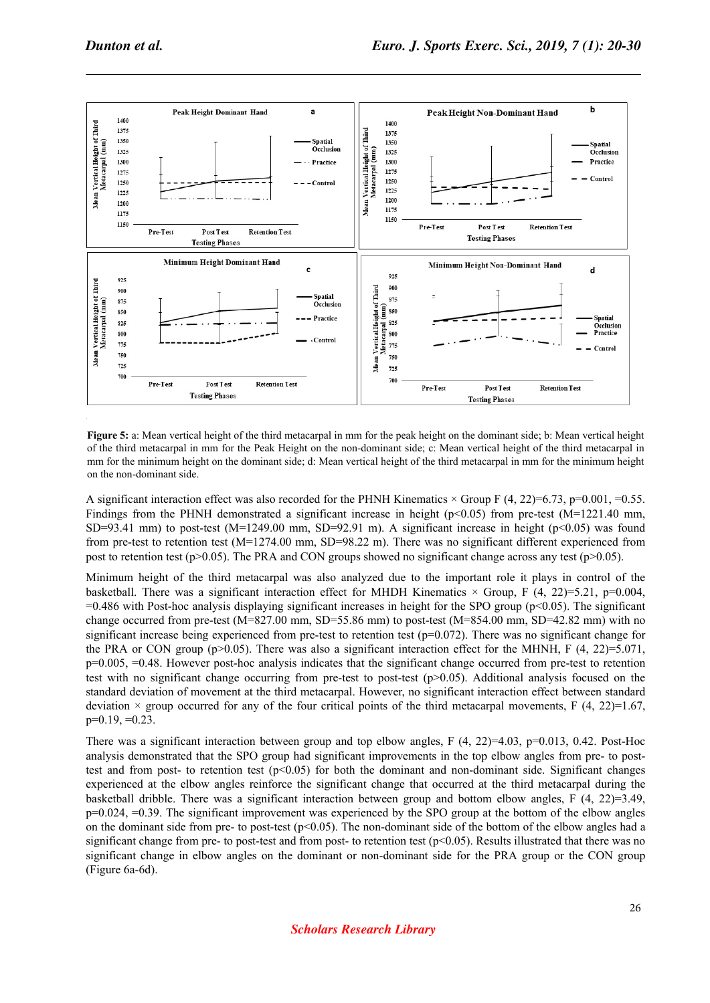

**Figure 5:** a: Mean vertical height of the third metacarpal in mm for the peak height on the dominant side; b: Mean vertical height of the third metacarpal in mm for the Peak Height on the non-dominant side; c: Mean vertical height of the third metacarpal in mm for the minimum height on the dominant side; d: Mean vertical height of the third metacarpal in mm for the minimum height on the non-dominant side.

A significant interaction effect was also recorded for the PHNH Kinematics  $\times$  Group F (4, 22)=6.73, p=0.001, =0.55. Findings from the PHNH demonstrated a significant increase in height ( $p<0.05$ ) from pre-test (M=1221.40 mm, SD=93.41 mm) to post-test (M=1249.00 mm, SD=92.91 m). A significant increase in height (p<0.05) was found from pre-test to retention test (M=1274.00 mm, SD=98.22 m). There was no significant different experienced from post to retention test ( $p>0.05$ ). The PRA and CON groups showed no significant change across any test ( $p>0.05$ ).

Minimum height of the third metacarpal was also analyzed due to the important role it plays in control of the basketball. There was a significant interaction effect for MHDH Kinematics  $\times$  Group, F (4, 22)=5.21, p=0.004,  $=0.486$  with Post-hoc analysis displaying significant increases in height for the SPO group ( $p<0.05$ ). The significant change occurred from pre-test (M=827.00 mm, SD=55.86 mm) to post-test (M=854.00 mm, SD=42.82 mm) with no significant increase being experienced from pre-test to retention test ( $p=0.072$ ). There was no significant change for the PRA or CON group ( $p>0.05$ ). There was also a significant interaction effect for the MHNH, F (4, 22)=5.071, p=0.005, =0.48. However post-hoc analysis indicates that the significant change occurred from pre-test to retention test with no significant change occurring from pre-test to post-test (p>0.05). Additional analysis focused on the standard deviation of movement at the third metacarpal. However, no significant interaction effect between standard deviation  $\times$  group occurred for any of the four critical points of the third metacarpal movements, F (4, 22)=1.67,  $p=0.19, =0.23$ .

There was a significant interaction between group and top elbow angles, F  $(4, 22)=4.03$ , p=0.013, 0.42. Post-Hoc analysis demonstrated that the SPO group had significant improvements in the top elbow angles from pre- to posttest and from post- to retention test  $(p<0.05)$  for both the dominant and non-dominant side. Significant changes experienced at the elbow angles reinforce the significant change that occurred at the third metacarpal during the basketball dribble. There was a significant interaction between group and bottom elbow angles, F (4, 22)=3.49,  $p=0.024$ ,  $=0.39$ . The significant improvement was experienced by the SPO group at the bottom of the elbow angles on the dominant side from pre- to post-test ( $p<0.05$ ). The non-dominant side of the bottom of the elbow angles had a significant change from pre- to post-test and from post- to retention test  $(p<0.05)$ . Results illustrated that there was no significant change in elbow angles on the dominant or non-dominant side for the PRA group or the CON group (Figure 6a-6d).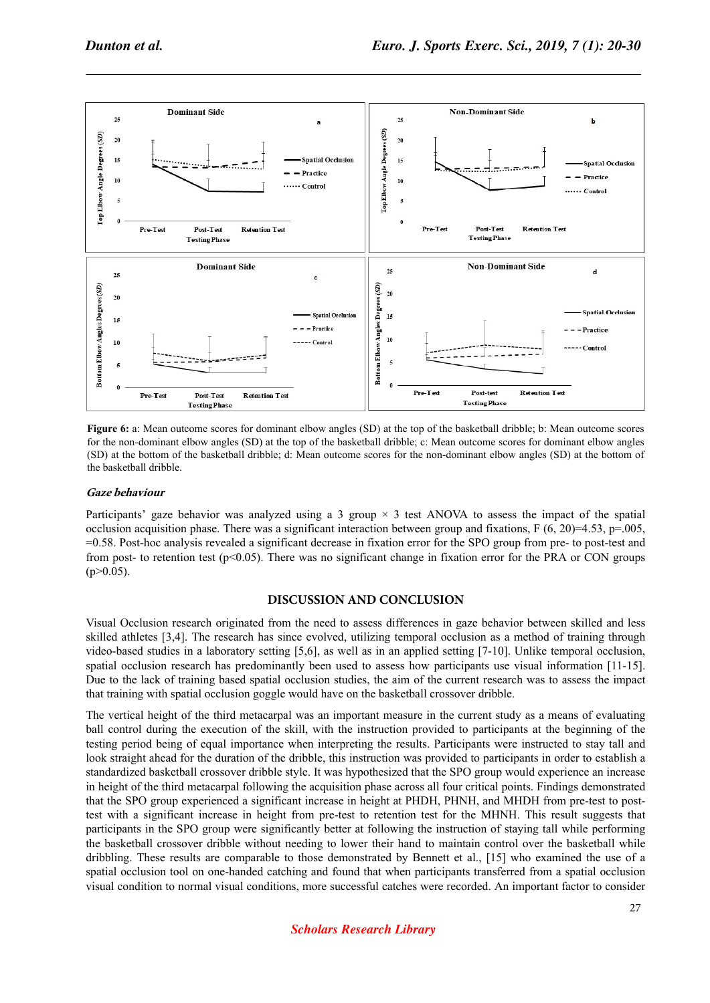

**Figure 6:** a: Mean outcome scores for dominant elbow angles (SD) at the top of the basketball dribble; b: Mean outcome scores for the non-dominant elbow angles (SD) at the top of the basketball dribble; c: Mean outcome scores for dominant elbow angles (SD) at the bottom of the basketball dribble; d: Mean outcome scores for the non-dominant elbow angles (SD) at the bottom of the basketball dribble.

#### **Gaze behaviour**

Participants' gaze behavior was analyzed using a 3 group  $\times$  3 test ANOVA to assess the impact of the spatial occlusion acquisition phase. There was a significant interaction between group and fixations, F  $(6, 20)=4.53$ , p=.005, =0.58. Post-hoc analysis revealed a significant decrease in fixation error for the SPO group from pre- to post-test and from post- to retention test ( $p<0.05$ ). There was no significant change in fixation error for the PRA or CON groups  $(p>0.05)$ .

#### **DISCUSSION AND CONCLUSION**

Visual Occlusion research originated from the need to assess differences in gaze behavior between skilled and less skilled athletes [3,4]. The research has since evolved, utilizing temporal occlusion as a method of training through video-based studies in a laboratory setting [5,6], as well as in an applied setting [7-10]. Unlike temporal occlusion, spatial occlusion research has predominantly been used to assess how participants use visual information [11-15]. Due to the lack of training based spatial occlusion studies, the aim of the current research was to assess the impact that training with spatial occlusion goggle would have on the basketball crossover dribble.

The vertical height of the third metacarpal was an important measure in the current study as a means of evaluating ball control during the execution of the skill, with the instruction provided to participants at the beginning of the testing period being of equal importance when interpreting the results. Participants were instructed to stay tall and look straight ahead for the duration of the dribble, this instruction was provided to participants in order to establish a standardized basketball crossover dribble style. It was hypothesized that the SPO group would experience an increase in height of the third metacarpal following the acquisition phase across all four critical points. Findings demonstrated that the SPO group experienced a significant increase in height at PHDH, PHNH, and MHDH from pre-test to posttest with a significant increase in height from pre-test to retention test for the MHNH. This result suggests that participants in the SPO group were significantly better at following the instruction of staying tall while performing the basketball crossover dribble without needing to lower their hand to maintain control over the basketball while dribbling. These results are comparable to those demonstrated by Bennett et al., [15] who examined the use of a spatial occlusion tool on one-handed catching and found that when participants transferred from a spatial occlusion visual condition to normal visual conditions, more successful catches were recorded. An important factor to consider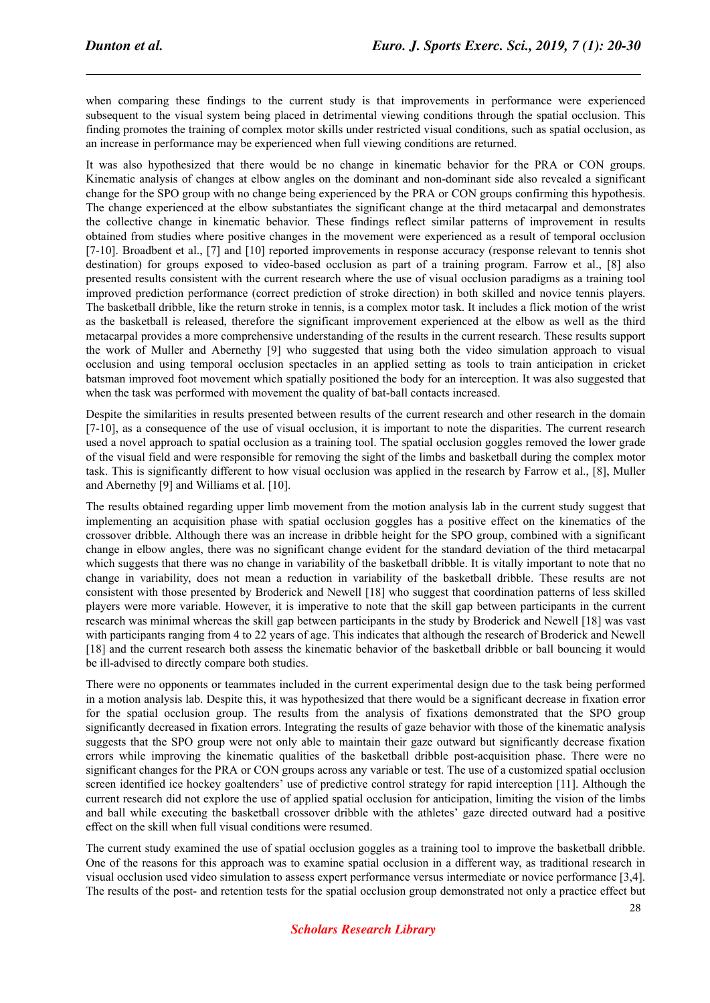when comparing these findings to the current study is that improvements in performance were experienced subsequent to the visual system being placed in detrimental viewing conditions through the spatial occlusion. This finding promotes the training of complex motor skills under restricted visual conditions, such as spatial occlusion, as an increase in performance may be experienced when full viewing conditions are returned.

It was also hypothesized that there would be no change in kinematic behavior for the PRA or CON groups. Kinematic analysis of changes at elbow angles on the dominant and non-dominant side also revealed a significant change for the SPO group with no change being experienced by the PRA or CON groups confirming this hypothesis. The change experienced at the elbow substantiates the significant change at the third metacarpal and demonstrates the collective change in kinematic behavior. These findings reflect similar patterns of improvement in results obtained from studies where positive changes in the movement were experienced as a result of temporal occlusion [7-10]. Broadbent et al., [7] and [10] reported improvements in response accuracy (response relevant to tennis shot destination) for groups exposed to video-based occlusion as part of a training program. Farrow et al., [8] also presented results consistent with the current research where the use of visual occlusion paradigms as a training tool improved prediction performance (correct prediction of stroke direction) in both skilled and novice tennis players. The basketball dribble, like the return stroke in tennis, is a complex motor task. It includes a flick motion of the wrist as the basketball is released, therefore the significant improvement experienced at the elbow as well as the third metacarpal provides a more comprehensive understanding of the results in the current research. These results support the work of Muller and Abernethy [9] who suggested that using both the video simulation approach to visual occlusion and using temporal occlusion spectacles in an applied setting as tools to train anticipation in cricket batsman improved foot movement which spatially positioned the body for an interception. It was also suggested that when the task was performed with movement the quality of bat-ball contacts increased.

Despite the similarities in results presented between results of the current research and other research in the domain [7-10], as a consequence of the use of visual occlusion, it is important to note the disparities. The current research used a novel approach to spatial occlusion as a training tool. The spatial occlusion goggles removed the lower grade of the visual field and were responsible for removing the sight of the limbs and basketball during the complex motor task. This is significantly different to how visual occlusion was applied in the research by Farrow et al., [8], Muller and Abernethy [9] and Williams et al. [10].

The results obtained regarding upper limb movement from the motion analysis lab in the current study suggest that implementing an acquisition phase with spatial occlusion goggles has a positive effect on the kinematics of the crossover dribble. Although there was an increase in dribble height for the SPO group, combined with a significant change in elbow angles, there was no significant change evident for the standard deviation of the third metacarpal which suggests that there was no change in variability of the basketball dribble. It is vitally important to note that no change in variability, does not mean a reduction in variability of the basketball dribble. These results are not consistent with those presented by Broderick and Newell [18] who suggest that coordination patterns of less skilled players were more variable. However, it is imperative to note that the skill gap between participants in the current research was minimal whereas the skill gap between participants in the study by Broderick and Newell [18] was vast with participants ranging from 4 to 22 years of age. This indicates that although the research of Broderick and Newell [18] and the current research both assess the kinematic behavior of the basketball dribble or ball bouncing it would be ill-advised to directly compare both studies.

There were no opponents or teammates included in the current experimental design due to the task being performed in a motion analysis lab. Despite this, it was hypothesized that there would be a significant decrease in fixation error for the spatial occlusion group. The results from the analysis of fixations demonstrated that the SPO group significantly decreased in fixation errors. Integrating the results of gaze behavior with those of the kinematic analysis suggests that the SPO group were not only able to maintain their gaze outward but significantly decrease fixation errors while improving the kinematic qualities of the basketball dribble post-acquisition phase. There were no significant changes for the PRA or CON groups across any variable or test. The use of a customized spatial occlusion screen identified ice hockey goaltenders' use of predictive control strategy for rapid interception [11]. Although the current research did not explore the use of applied spatial occlusion for anticipation, limiting the vision of the limbs and ball while executing the basketball crossover dribble with the athletes' gaze directed outward had a positive effect on the skill when full visual conditions were resumed.

The current study examined the use of spatial occlusion goggles as a training tool to improve the basketball dribble. One of the reasons for this approach was to examine spatial occlusion in a different way, as traditional research in visual occlusion used video simulation to assess expert performance versus intermediate or novice performance [3,4]. The results of the post- and retention tests for the spatial occlusion group demonstrated not only a practice effect but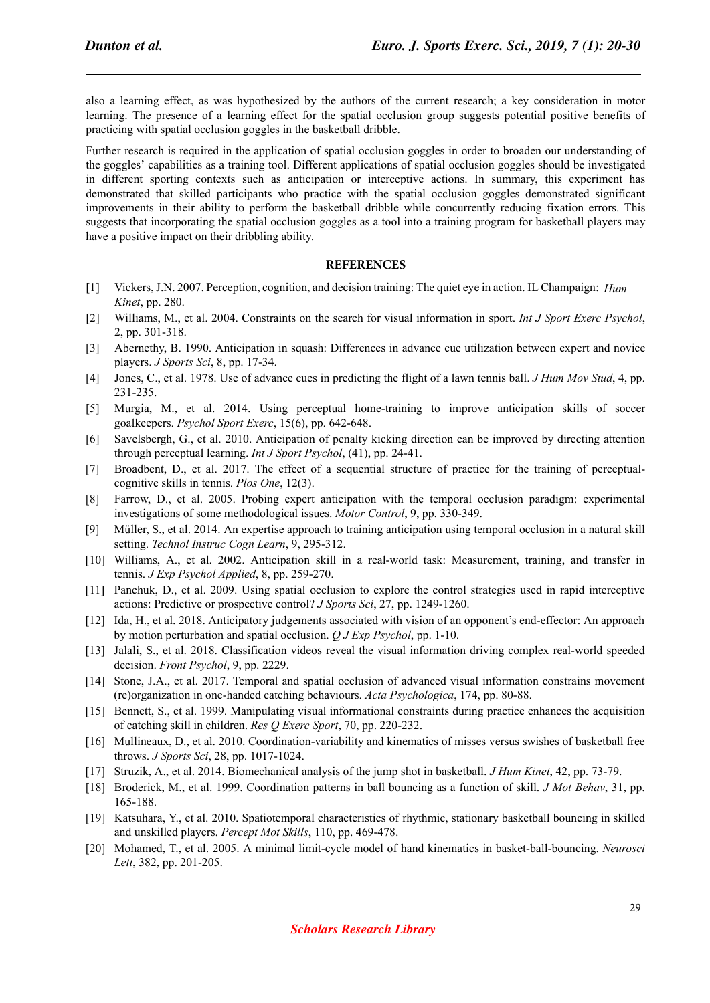also a learning effect, as was hypothesized by the authors of the current research; a key consideration in motor learning. The presence of a learning effect for the spatial occlusion group suggests potential positive benefits of practicing with spatial occlusion goggles in the basketball dribble.

Further research is required in the application of spatial occlusion goggles in order to broaden our understanding of the goggles' capabilities as a training tool. Different applications of spatial occlusion goggles should be investigated in different sporting contexts such as anticipation or interceptive actions. In summary, this experiment has demonstrated that skilled participants who practice with the spatial occlusion goggles demonstrated significant improvements in their ability to perform the basketball dribble while concurrently reducing fixation errors. This suggests that incorporating the spatial occlusion goggles as a tool into a training program for basketball players may have a positive impact on their dribbling ability.

#### **REFERENCES**

- [1] Vickers, J.N. 2007. Perception, cognition, and decision training: The quiet eye in action. IL Champaign: *Hum Kinet*, pp. 280.
- [2] Williams, M., et al. 2004. Constraints on the search for visual information in sport. *Int J Sport Exerc Psychol*, 2, pp. 301-318.
- [3] Abernethy, B. 1990. Anticipation in squash: Differences in advance cue utilization between expert and novice players. *J Sports Sci*, 8, pp. 17-34.
- [4] Jones, C., et al. 1978. Use of advance cues in predicting the flight of a lawn tennis ball. *J Hum Mov Stud*, 4, pp. 231-235.
- [5] Murgia, M., et al. 2014. Using perceptual home-training to improve anticipation skills of soccer goalkeepers. *Psychol Sport Exerc*, 15(6), pp. 642-648.
- [6] Savelsbergh, G., et al. 2010. Anticipation of penalty kicking direction can be improved by directing attention through perceptual learning. *Int J Sport Psychol*, (41), pp. 24-41.
- [7] Broadbent, D., et al. 2017. The effect of a sequential structure of practice for the training of perceptualcognitive skills in tennis. *Plos One*, 12(3).
- [8] Farrow, D., et al. 2005. Probing expert anticipation with the temporal occlusion paradigm: experimental investigations of some methodological issues. *Motor Control*, 9, pp. 330-349.
- [9] Müller, S., et al. 2014. An expertise approach to training anticipation using temporal occlusion in a natural skill setting. *Technol Instruc Cogn Learn*, 9, 295-312.
- [10] Williams, A., et al. 2002. Anticipation skill in a real-world task: Measurement, training, and transfer in tennis. *J Exp Psychol Applied*, 8, pp. 259-270.
- [11] Panchuk, D., et al. 2009. Using spatial occlusion to explore the control strategies used in rapid interceptive actions: Predictive or prospective control? *J Sports Sci*, 27, pp. 1249-1260.
- [12] Ida, H., et al. 2018. Anticipatory judgements associated with vision of an opponent's end-effector: An approach by motion perturbation and spatial occlusion. *Q J Exp Psychol*, pp. 1-10.
- [13] Jalali, S., et al. 2018. Classification videos reveal the visual information driving complex real-world speeded decision. *Front Psychol*, 9, pp. 2229.
- [14] Stone, J.A., et al. 2017. Temporal and spatial occlusion of advanced visual information constrains movement (re)organization in one-handed catching behaviours. *Acta Psychologica*, 174, pp. 80-88.
- [15] Bennett, S., et al. 1999. Manipulating visual informational constraints during practice enhances the acquisition of catching skill in children. *Res Q Exerc Sport*, 70, pp. 220-232.
- [16] Mullineaux, D., et al. 2010. Coordination-variability and kinematics of misses versus swishes of basketball free throws. *J Sports Sci*, 28, pp. 1017-1024.
- [17] Struzik, A., et al. 2014. Biomechanical analysis of the jump shot in basketball. *J Hum Kinet*, 42, pp. 73-79.
- [18] Broderick, M., et al. 1999. Coordination patterns in ball bouncing as a function of skill. *J Mot Behav*, 31, pp. 165-188.
- [19] Katsuhara, Y., et al. 2010. Spatiotemporal characteristics of rhythmic, stationary basketball bouncing in skilled and unskilled players. *Percept Mot Skills*, 110, pp. 469-478.
- [20] Mohamed, T., et al. 2005. A minimal limit-cycle model of hand kinematics in basket-ball-bouncing. *Neurosci Lett*, 382, pp. 201-205.